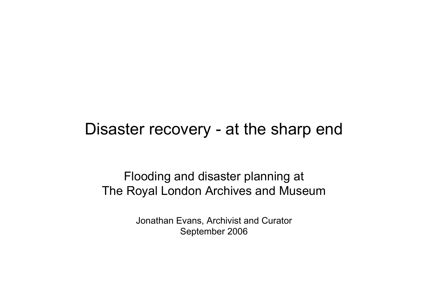#### Disaster recovery - at the sharp end

Flooding and disaster planning at The Royal London Archives and Museum

> Jonathan Evans, Archivist and Curator September 2006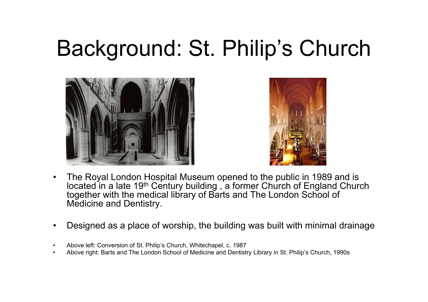# Background: St. Philip's Church





- • The Royal London Hospital Museum opened to the public in 1989 and is located in a late 19<sup>th</sup> Century building , a former Church of England Church together with the medical library of Barts and The London School of Medicine and Dentistry.
- •Designed as a place of worship, the building was built with minimal drainage
- •Above left: Conversion of St. Philip's Church, Whitechapel, c. 1987
- •Above right: Barts and The London School of Medicine and Dentistry Library in St. Philip's Church, 1990s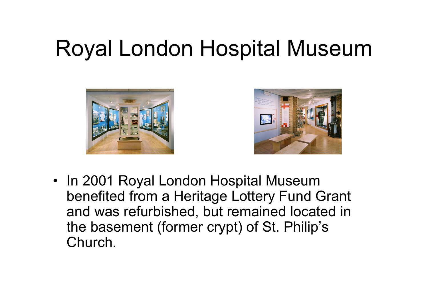# Royal London Hospital Museum





• In 2001 Royal London Hospital Museum benefited from a Heritage Lottery Fund Grant and was refurbished, but remained located in the basement (former crypt) of St. Philip's Church.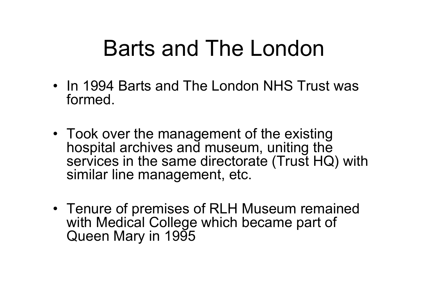## Barts and The London

- In 1994 Barts and The London NHS Trust was formed.
- Took over the management of the existing hospital archives and museum, uniting the services in the same directorate (Trust HQ) with similar line management, etc.
- Tenure of premises of RLH Museum remained with Medical College which became part of Queen Mary in 1995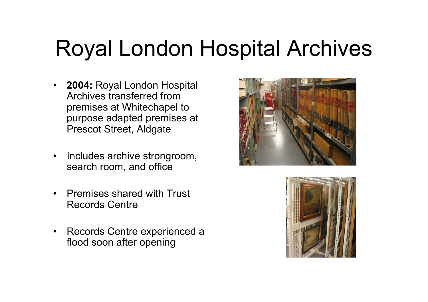# Royal London Hospital Archives

- **2004:** Royal London Hospital Archives transferred from premises at Whitechapel to purpose adapted premises at Prescot Street, Aldgate
- • Includes archive strongroom, search room, and office
- • Premises shared with Trust Records Centre
- • Records Centre experienced a flood soon after opening



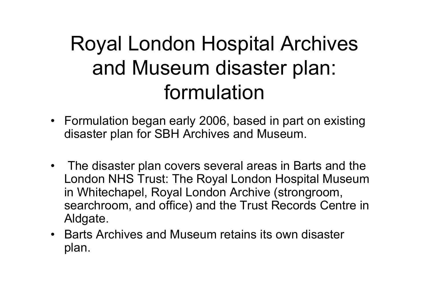#### Royal London Hospital Archives and Museum disaster plan: formulation

- Formulation began early 2006, based in part on existing disaster plan for SBH Archives and Museum.
- The disaster plan covers several areas in Barts and the London NHS Trust: The Royal London Hospital Museum in Whitechapel, Royal London Archive (strongroom, searchroom, and office) and the Trust Records Centre in Aldgate.
- Barts Archives and Museum retains its own disaster plan.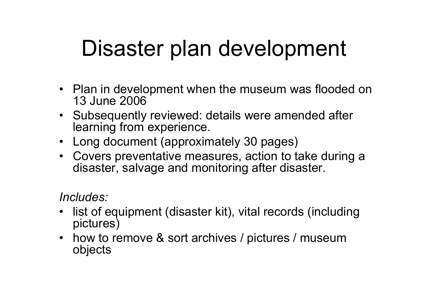# Disaster plan development

- Plan in development when the museum was flooded on 13 June 2006
- Subsequently reviewed: details were amended after learning from experience.
- •Long document (approximately 30 pages)
- • Covers preventative measures, action to take during a disaster, salvage and monitoring after disaster.

*Includes:*

- • list of equipment (disaster kit), vital records (including pictures)
- how to remove & sort archives / pictures / museum objects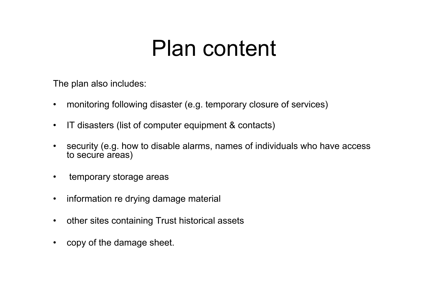#### Plan content

The plan also includes:

- •monitoring following disaster (e.g. temporary closure of services)
- •IT disasters (list of computer equipment & contacts)
- • security (e.g. how to disable alarms, names of individuals who have access to secure areas)
- •temporary storage areas
- •information re drying damage material
- •other sites containing Trust historical assets
- •copy of the damage sheet.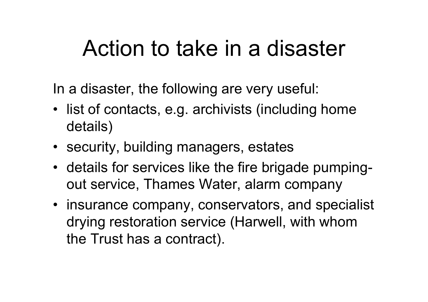#### Action to take in a disaster

In a disaster, the following are very useful:

- list of contacts, e.g. archivists (including home details)
- security, building managers, estates
- details for services like the fire brigade pumpingout service, Thames Water, alarm company
- insurance company, conservators, and specialist drying restoration service (Harwell, with whom the Trust has a contract).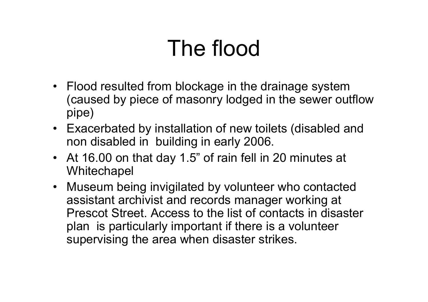# The flood

- Flood resulted from blockage in the drainage system (caused by piece of masonry lodged in the sewer outflow pipe)
- Exacerbated by installation of new toilets (disabled and non disabled in building in early 2006.
- At 16.00 on that day 1.5" of rain fell in 20 minutes at **Whitechapel**
- Museum being invigilated by volunteer who contacted assistant archivist and records manager working at Prescot Street. Access to the list of contacts in disaster plan is particularly important if there is a volunteer supervising the area when disaster strikes.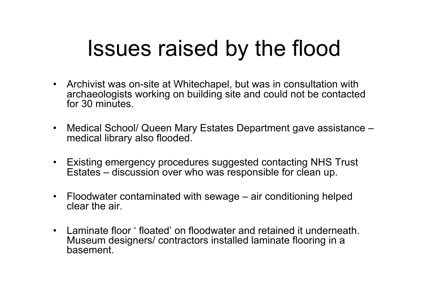## Issues raised by the flood

- Archivist was on-site at Whitechapel, but was in consultation with archaeologists working on building site and could not be contacted for 30 minutes.
- • Medical School/ Queen Mary Estates Department gave assistance – medical library also flooded.
- Existing emergency procedures suggested contacting NHS Trust Estates – discussion over who was responsible for clean up.
- Floodwater contaminated with sewage air conditioning helped clear the air.
- Laminate floor ' floated' on floodwater and retained it underneath. Museum designers/ contractors installed laminate flooring in a basement.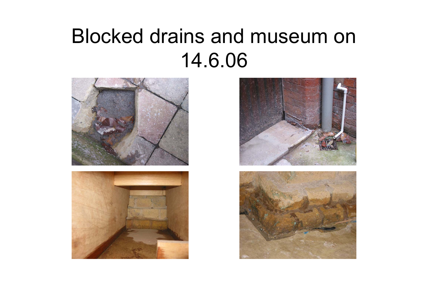#### Blocked drains and museum on 14.6.06







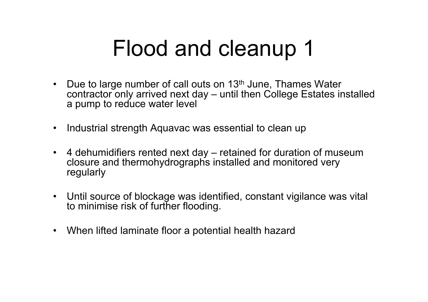# Flood and cleanup 1

- •Due to large number of call outs on 13<sup>th</sup> June, Thames Water contractor only arrived next day – until then College Estates installed a pump to reduce water level
- •Industrial strength Aquavac was essential to clean up
- • 4 dehumidifiers rented next day – retained for duration of museum closure and thermohydrographs installed and monitored very regularly
- Until source of blockage was identified, constant vigilance was vital to minimise risk of further flooding.
- •When lifted laminate floor a potential health hazard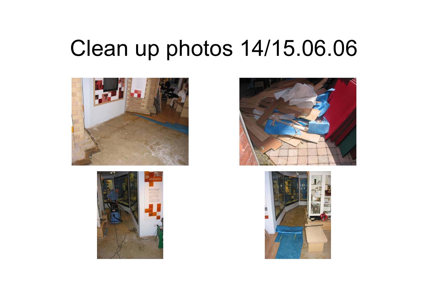## Clean up photos 14/15.06.06







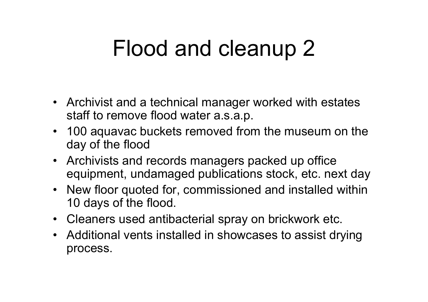# Flood and cleanup 2

- Archivist and a technical manager worked with estates staff to remove flood water a.s.a.p.
- 100 aquavac buckets removed from the museum on the day of the flood
- Archivists and records managers packed up office equipment, undamaged publications stock, etc. next day
- New floor quoted for, commissioned and installed within 10 days of the flood.
- Cleaners used antibacterial spray on brickwork etc.
- Additional vents installed in showcases to assist drying process.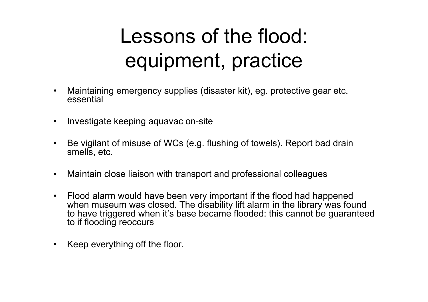#### Lessons of the flood: equipment, practice

- • Maintaining emergency supplies (disaster kit), eg. protective gear etc. essential
- $\bullet$ Investigate keeping aquavac on-site
- • Be vigilant of misuse of WCs (e.g. flushing of towels). Report bad drain smells, etc.
- •Maintain close liaison with transport and professional colleagues
- • Flood alarm would have been very important if the flood had happened when museum was closed. The disability lift alarm in the library was found to have triggered when it's base became flooded: this cannot be guaranteed to if flooding reoccurs
- •Keep everything off the floor.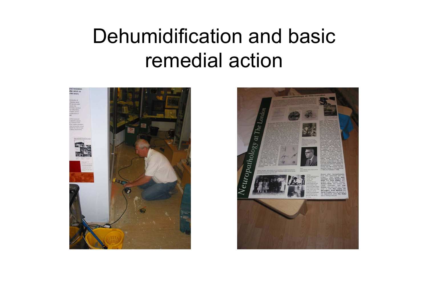#### Dehumidification and basic remedial action



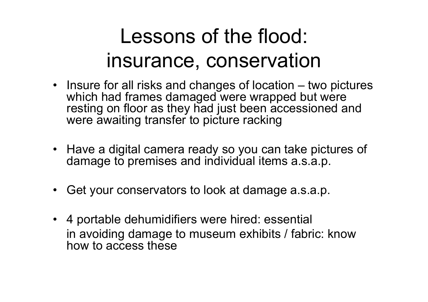#### Lessons of the flood: insurance, conservation

- Insure for all risks and changes of location two pictures which had frames damaged were wrapped but were resting on floor as they had just been accessioned and were awaiting transfer to picture racking
- Have a digital camera ready so you can take pictures of damage to premises and individual items a.s.a.p.
- •Get your conservators to look at damage a.s.a.p.
- 4 portable dehumidifiers were hired: essential in avoiding damage to museum exhibits / fabric: know how to access these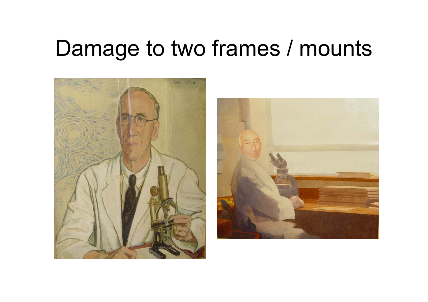#### Damage to two frames / mounts



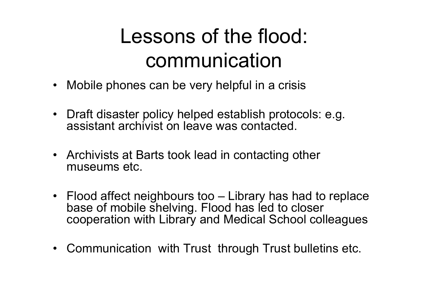#### Lessons of the flood: communication

- Mobile phones can be very helpful in a crisis
- Draft disaster policy helped establish protocols: e.g. assistant archivist on leave was contacted.
- Archivists at Barts took lead in contacting other museums etc.
- Flood affect neighbours too Library has had to replace base of mobile shelving. Flood has led to closer cooperation with Library and Medical School colleagues
- Communication with Trust through Trust bulletins etc.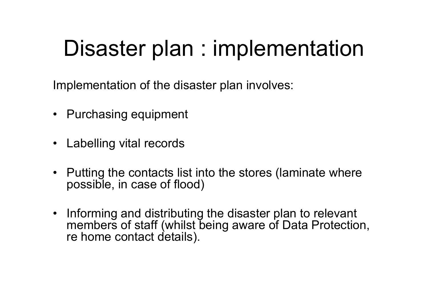## Disaster plan : implementation

Implementation of the disaster plan involves:

- Purchasing equipment
- Labelling vital records
- Putting the contacts list into the stores (laminate where possible, in case of flood)
- Informing and distributing the disaster plan to relevant members of staff (whilst being aware of Data Protection, re home contact details).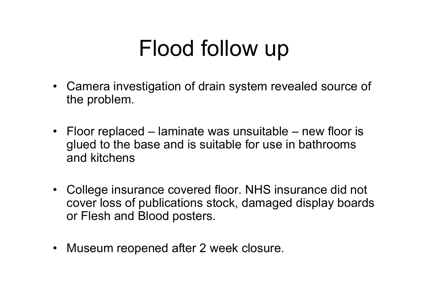# Flood follow up

- Camera investigation of drain system revealed source of the problem.
- Floor replaced laminate was unsuitable new floor is glued to the base and is suitable for use in bathrooms and kitchens
- College insurance covered floor. NHS insurance did not cover loss of publications stock, damaged display boards or Flesh and Blood posters.
- •Museum reopened after 2 week closure.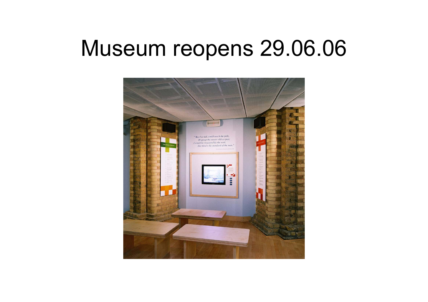#### Museum reopens 29.06.06

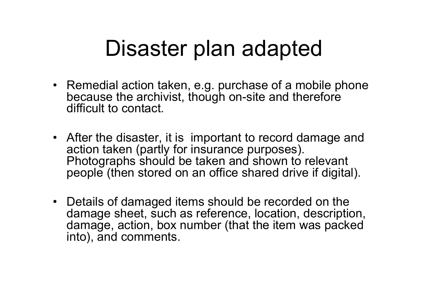## Disaster plan adapted

- Remedial action taken, e.g. purchase of a mobile phone because the archivist, though on-site and therefore difficult to contact.
- After the disaster, it is important to record damage and action taken (partly for insurance purposes). Photographs should be taken and shown to relevant people (then stored on an office shared drive if digital).
- Details of damaged items should be recorded on the damage sheet, such as reference, location, description, damage, action, box number (that the item was packed into), and comments.